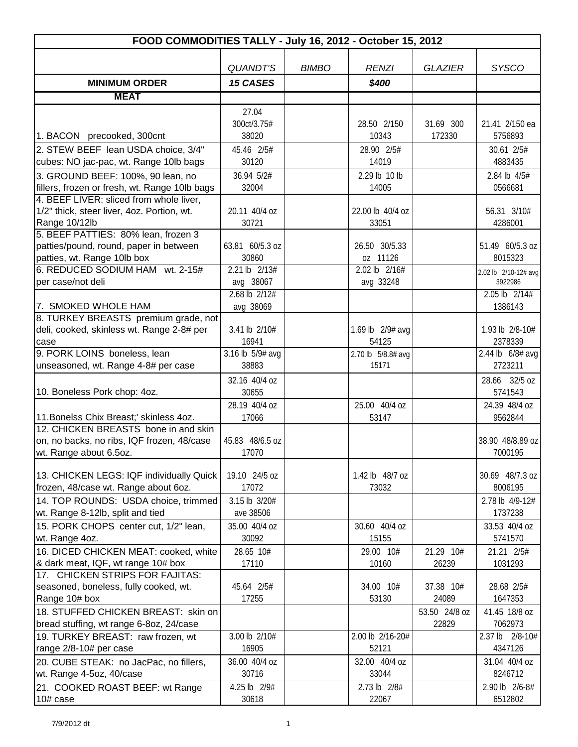| FOOD COMMODITIES TALLY - July 16, 2012 - October 15, 2012          |                          |              |                           |                |                                 |  |  |
|--------------------------------------------------------------------|--------------------------|--------------|---------------------------|----------------|---------------------------------|--|--|
|                                                                    |                          |              |                           |                |                                 |  |  |
|                                                                    | <b>QUANDT'S</b>          | <b>BIMBO</b> | <b>RENZI</b>              | <b>GLAZIER</b> | <b>SYSCO</b>                    |  |  |
| <b>MINIMUM ORDER</b>                                               | <b>15 CASES</b>          |              | \$400                     |                |                                 |  |  |
| <b>MEAT</b>                                                        |                          |              |                           |                |                                 |  |  |
|                                                                    | 27.04                    |              |                           |                |                                 |  |  |
|                                                                    | 300ct/3.75#              |              | 28.50 2/150               | 31.69 300      | 21.41 2/150 ea                  |  |  |
| 1. BACON precooked, 300cnt                                         | 38020                    |              | 10343                     | 172330         | 5756893                         |  |  |
| 2. STEW BEEF lean USDA choice, 3/4"                                | 45.46 2/5#               |              | 28.90 2/5#                |                | 30.61 2/5#                      |  |  |
| cubes: NO jac-pac, wt. Range 10lb bags                             | 30120                    |              | 14019                     |                | 4883435                         |  |  |
| 3. GROUND BEEF: 100%, 90 lean, no                                  | 36.94 5/2#               |              | 2.29 lb 10 lb             |                | 2.84 lb 4/5#                    |  |  |
| fillers, frozen or fresh, wt. Range 10lb bags                      | 32004                    |              | 14005                     |                | 0566681                         |  |  |
| 4. BEEF LIVER: sliced from whole liver,                            |                          |              |                           |                |                                 |  |  |
| 1/2" thick, steer liver, 4oz. Portion, wt.                         | 20.11 40/4 oz            |              | 22.00 lb 40/4 oz          |                | 56.31 3/10#                     |  |  |
| Range 10/12lb                                                      | 30721                    |              | 33051                     |                | 4286001                         |  |  |
| 5. BEEF PATTIES: 80% lean, frozen 3                                |                          |              |                           |                |                                 |  |  |
| patties/pound, round, paper in between                             | 63.81 60/5.3 oz<br>30860 |              | 26.50 30/5.33<br>oz 11126 |                | 51.49 60/5.3 oz<br>8015323      |  |  |
| patties, wt. Range 10lb box<br>6. REDUCED SODIUM HAM wt. 2-15#     | 2.21 lb 2/13#            |              | 2.02 lb 2/16#             |                |                                 |  |  |
| per case/not deli                                                  | avg 38067                |              | avg 33248                 |                | 2.02 lb 2/10-12# avg<br>3922986 |  |  |
|                                                                    | 2.68 lb 2/12#            |              |                           |                | $2.05$ lb $2/14#$               |  |  |
| 7. SMOKED WHOLE HAM                                                | avg 38069                |              |                           |                | 1386143                         |  |  |
| 8. TURKEY BREASTS premium grade, not                               |                          |              |                           |                |                                 |  |  |
| deli, cooked, skinless wt. Range 2-8# per                          | 3.41 lb 2/10#            |              | 1.69 lb 2/9# avg          |                | 1.93 lb 2/8-10#                 |  |  |
| case                                                               | 16941                    |              | 54125                     |                | 2378339                         |  |  |
| 9. PORK LOINS boneless, lean                                       | 3.16 lb 5/9# avg         |              | 2.70 lb 5/8.8# avg        |                | 2.44 lb 6/8# avg                |  |  |
| unseasoned, wt. Range 4-8# per case                                | 38883                    |              | 15171                     |                | 2723211                         |  |  |
|                                                                    | 32.16 40/4 oz            |              |                           |                | 28.66 32/5 oz                   |  |  |
| 10. Boneless Pork chop: 4oz.                                       | 30655                    |              |                           |                | 5741543                         |  |  |
|                                                                    | 28.19 40/4 oz            |              | 25.00 40/4 oz             |                | 24.39 48/4 oz                   |  |  |
| 11. Bonelss Chix Breast;' skinless 4oz.                            | 17066                    |              | 53147                     |                | 9562844                         |  |  |
| 12. CHICKEN BREASTS bone in and skin                               |                          |              |                           |                |                                 |  |  |
| on, no backs, no ribs, IQF frozen, 48/case                         | 45.83 48/6.5 oz<br>17070 |              |                           |                | 38.90 48/8.89 oz<br>7000195     |  |  |
| wt. Range about 6.5oz.                                             |                          |              |                           |                |                                 |  |  |
| 13. CHICKEN LEGS: IQF individually Quick                           | 19.10 24/5 oz            |              | 1.42 lb 48/7 oz           |                | 30.69 48/7.3 oz                 |  |  |
| frozen, 48/case wt. Range about 6oz.                               | 17072                    |              | 73032                     |                | 8006195                         |  |  |
| 14. TOP ROUNDS: USDA choice, trimmed                               | 3.15 lb 3/20#            |              |                           |                | 2.78 lb 4/9-12#                 |  |  |
| wt. Range 8-12lb, split and tied                                   | ave 38506                |              |                           |                | 1737238                         |  |  |
| 15. PORK CHOPS center cut, 1/2" lean,                              | 35.00 40/4 oz            |              | 30.60 40/4 oz             |                | 33.53 40/4 oz                   |  |  |
| wt. Range 4oz.                                                     | 30092                    |              | 15155                     |                | 5741570                         |  |  |
| 16. DICED CHICKEN MEAT: cooked, white                              | 28.65 10#                |              | 29.00 10#                 | 21.29 10#      | 21.21 2/5#                      |  |  |
| & dark meat, IQF, wt range 10# box                                 | 17110                    |              | 10160                     | 26239          | 1031293                         |  |  |
| 17. CHICKEN STRIPS FOR FAJITAS:                                    |                          |              |                           |                |                                 |  |  |
| seasoned, boneless, fully cooked, wt.                              | 45.64 2/5#               |              | 34.00 10#                 | 37.38 10#      | 28.68 2/5#                      |  |  |
| Range 10# box                                                      | 17255                    |              | 53130                     | 24089          | 1647353                         |  |  |
| 18. STUFFED CHICKEN BREAST: skin on                                |                          |              |                           | 53.50 24/8 oz  | 41.45 18/8 oz                   |  |  |
| bread stuffing, wt range 6-8oz, 24/case                            |                          |              |                           | 22829          | 7062973                         |  |  |
| 19. TURKEY BREAST: raw frozen, wt                                  | 3.00 lb 2/10#            |              | 2.00 lb 2/16-20#          |                | 2.37 lb 2/8-10#                 |  |  |
| range 2/8-10# per case                                             | 16905                    |              | 52121                     |                | 4347126                         |  |  |
| 20. CUBE STEAK: no JacPac, no fillers,<br>wt. Range 4-5oz, 40/case | 36.00 40/4 oz<br>30716   |              | 32.00 40/4 oz<br>33044    |                | 31.04 40/4 oz<br>8246712        |  |  |
|                                                                    | 4.25 lb 2/9#             |              | 2.73 lb 2/8#              |                | 2.90 lb 2/6-8#                  |  |  |
| 21. COOKED ROAST BEEF: wt Range<br>10# case                        | 30618                    |              | 22067                     |                | 6512802                         |  |  |
|                                                                    |                          |              |                           |                |                                 |  |  |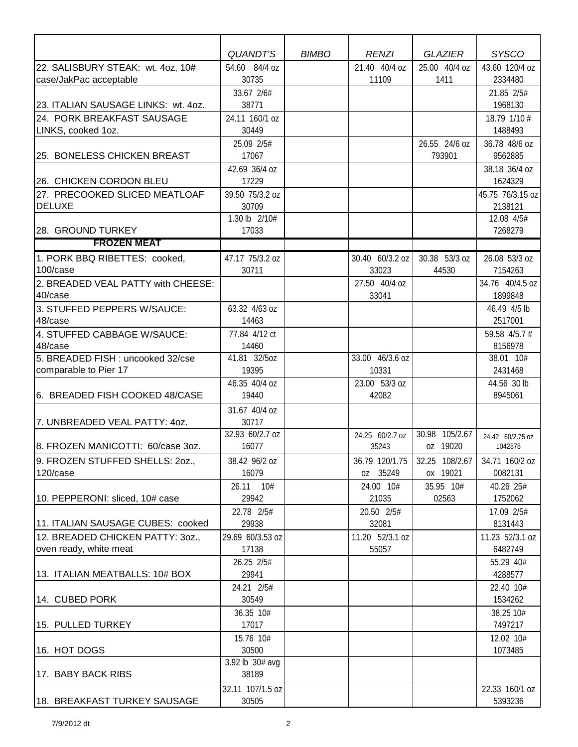|                                                             | <b>QUANDT'S</b>        | <b>BIMBO</b> | <b>RENZI</b>           | <b>GLAZIER</b>        | <b>SYSCO</b>              |
|-------------------------------------------------------------|------------------------|--------------|------------------------|-----------------------|---------------------------|
| 22. SALISBURY STEAK: wt. 4oz, 10#<br>case/JakPac acceptable | 54.60 84/4 oz<br>30735 |              | 21.40 40/4 oz<br>11109 | 25.00 40/4 oz<br>1411 | 43.60 120/4 oz<br>2334480 |
|                                                             | 33.67 2/6#             |              |                        |                       | 21.85 2/5#                |
| 23. ITALIAN SAUSAGE LINKS: wt. 4oz.                         | 38771                  |              |                        |                       | 1968130                   |
| 24. PORK BREAKFAST SAUSAGE                                  | 24.11 160/1 oz         |              |                        |                       | 18.79 1/10 #              |
| LINKS, cooked 1oz.                                          | 30449                  |              |                        |                       | 1488493                   |
|                                                             | 25.09 2/5#             |              |                        | 26.55 24/6 oz         | 36.78 48/6 oz             |
| 25. BONELESS CHICKEN BREAST                                 | 17067                  |              |                        | 793901                | 9562885                   |
|                                                             | 42.69 36/4 oz          |              |                        |                       | 38.18 36/4 oz             |
| 26. CHICKEN CORDON BLEU                                     | 17229                  |              |                        |                       | 1624329                   |
| 27. PRECOOKED SLICED MEATLOAF                               | 39.50 75/3.2 oz        |              |                        |                       | 45.75 76/3.15 oz          |
| <b>DELUXE</b>                                               | 30709                  |              |                        |                       | 2138121                   |
|                                                             | 1.30 lb 2/10#          |              |                        |                       | 12.08 4/5#                |
| 28. GROUND TURKEY                                           | 17033                  |              |                        |                       | 7268279                   |
| <b>FROZEN MEAT</b>                                          |                        |              |                        |                       |                           |
| 1. PORK BBQ RIBETTES: cooked,                               | 47.17 75/3.2 oz        |              | 30.40 60/3.2 oz        | 30.38 53/3 oz         | 26.08 53/3 oz             |
| 100/case                                                    | 30711                  |              | 33023                  | 44530                 | 7154263                   |
| 2. BREADED VEAL PATTY with CHEESE:                          |                        |              | 27.50 40/4 oz          |                       | 34.76 40/4.5 oz           |
| 40/case                                                     |                        |              | 33041                  |                       | 1899848                   |
| 3. STUFFED PEPPERS W/SAUCE:                                 | 63.32 4/63 oz          |              |                        |                       | 46.49 4/5 lb              |
| 48/case                                                     | 14463                  |              |                        |                       | 2517001                   |
| 4. STUFFED CABBAGE W/SAUCE:                                 | 77.84 4/12 ct          |              |                        |                       | 59.58 4/5.7 #             |
| 48/case                                                     | 14460                  |              |                        |                       | 8156978                   |
| 5. BREADED FISH: uncooked 32/cse                            | 41.81 32/5oz           |              | 33.00 46/3.6 oz        |                       | 38.01 10#                 |
| comparable to Pier 17                                       | 19395                  |              | 10331                  |                       | 2431468                   |
|                                                             | 46.35 40/4 oz          |              | 23.00 53/3 oz          |                       | 44.56 30 lb               |
| 6. BREADED FISH COOKED 48/CASE                              | 19440                  |              | 42082                  |                       | 8945061                   |
|                                                             | 31.67 40/4 oz          |              |                        |                       |                           |
| 7. UNBREADED VEAL PATTY: 40Z.                               | 30717                  |              |                        |                       |                           |
|                                                             | 32.93 60/2.7 oz        |              | 24.25 60/2.7 oz        | 30.98 105/2.67        | 24.42 60/2.75 oz          |
| 8. FROZEN MANICOTTI: 60/case 3oz.                           | 16077                  |              | 35243                  | oz 19020              | 1042878                   |
| 9. FROZEN STUFFED SHELLS: 2oz.,                             | 38.42 96/2 oz          |              | 36.79 120/1.75         | 32.25 108/2.67        | 34.71 160/2 oz            |
| 120/case                                                    | 16079                  |              | oz 35249               | ox 19021              | 0082131                   |
|                                                             | 26.11 10#              |              | 24.00 10#              | 35.95 10#             | 40.26 25#                 |
| 10. PEPPERONI: sliced, 10# case                             | 29942                  |              | 21035                  | 02563                 | 1752062                   |
|                                                             | 22.78 2/5#             |              | 20.50 2/5#             |                       | 17.09 2/5#                |
| 11. ITALIAN SAUSAGE CUBES: cooked                           | 29938                  |              | 32081                  |                       | 8131443                   |
| 12. BREADED CHICKEN PATTY: 30Z.,                            | 29.69 60/3.53 oz       |              | 11.20 52/3.1 oz        |                       | 11.23 52/3.1 oz           |
| oven ready, white meat                                      | 17138                  |              | 55057                  |                       | 6482749                   |
|                                                             | 26.25 2/5#             |              |                        |                       | 55.29 40#                 |
| 13. ITALIAN MEATBALLS: 10# BOX                              | 29941                  |              |                        |                       | 4288577                   |
|                                                             | 24.21 2/5#             |              |                        |                       | 22.40 10#                 |
| 14. CUBED PORK                                              | 30549                  |              |                        |                       | 1534262                   |
|                                                             | 36.35 10#              |              |                        |                       | 38.25 10#                 |
| 15. PULLED TURKEY                                           | 17017                  |              |                        |                       | 7497217                   |
|                                                             | 15.76 10#              |              |                        |                       | 12.02 10#                 |
| 16. HOT DOGS                                                | 30500                  |              |                        |                       | 1073485                   |
|                                                             | 3.92 lb 30# avg        |              |                        |                       |                           |
| 17. BABY BACK RIBS                                          | 38189                  |              |                        |                       |                           |
|                                                             | 32.11 107/1.5 oz       |              |                        |                       | 22.33 160/1 oz            |
| 18. BREAKFAST TURKEY SAUSAGE                                | 30505                  |              |                        |                       | 5393236                   |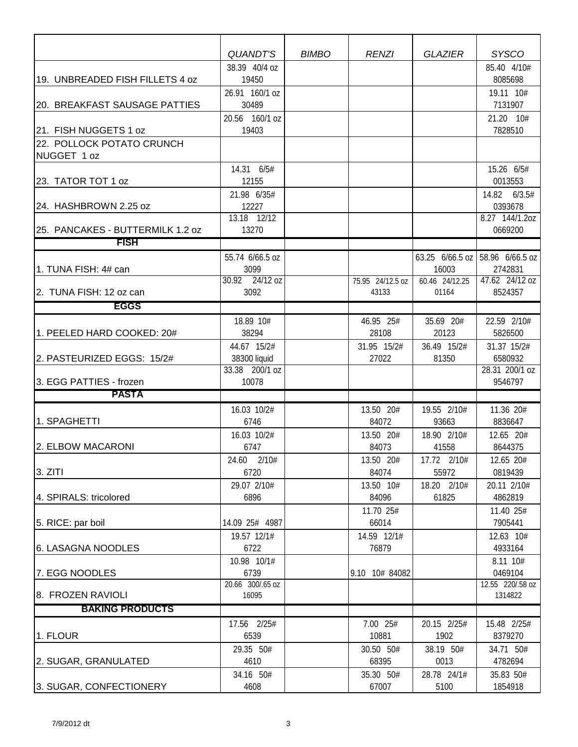|                                          | QUANDT'S                    | <b>BIMBO</b> | <b>RENZI</b>              | <b>GLAZIER</b>          | <b>SYSCO</b>                          |
|------------------------------------------|-----------------------------|--------------|---------------------------|-------------------------|---------------------------------------|
|                                          | 38.39 40/4 oz               |              |                           |                         | 85.40 4/10#                           |
| 19. UNBREADED FISH FILLETS 4 oz          | 19450                       |              |                           |                         | 8085698                               |
|                                          | 26.91 160/1 oz              |              |                           |                         | 19.11 10#                             |
| 20. BREAKFAST SAUSAGE PATTIES            | 30489                       |              |                           |                         | 7131907                               |
|                                          | 20.56 160/1 oz              |              |                           |                         | 21.20 10#                             |
| 21. FISH NUGGETS 1 oz                    | 19403                       |              |                           |                         | 7828510                               |
| 22. POLLOCK POTATO CRUNCH<br>NUGGET 1 oz |                             |              |                           |                         |                                       |
|                                          | 14.31 6/5#                  |              |                           |                         | 15.26 6/5#                            |
| 23. TATOR TOT 1 oz                       | 12155                       |              |                           |                         | 0013553                               |
|                                          | 21.98 6/35#                 |              |                           |                         | 14.82 6/3.5#                          |
| 24. HASHBROWN 2.25 oz                    | 12227                       |              |                           |                         | 0393678                               |
|                                          | 13.18 12/12                 |              |                           |                         | 8.27 144/1.20Z                        |
| 25. PANCAKES - BUTTERMILK 1.2 oz         | 13270                       |              |                           |                         | 0669200                               |
| <b>FISH</b>                              |                             |              |                           |                         |                                       |
|                                          | 55.74 6/66.5 oz             |              |                           |                         | 63.25 $6/66.5$ oz   58.96 $6/66.5$ oz |
| 1. TUNA FISH: 4# can                     | 3099                        |              |                           | 16003                   | 2742831                               |
| 2. TUNA FISH: 12 oz can                  | 30.92 24/12 oz<br>3092      |              | 75.95 24/12.5 oz<br>43133 | 60.46 24/12.25<br>01164 | 47.62 24/12 oz<br>8524357             |
|                                          |                             |              |                           |                         |                                       |
| <b>EGGS</b>                              |                             |              |                           |                         |                                       |
|                                          | 18.89 10#                   |              | 46.95 25#                 | 35.69 20#               | 22.59 2/10#                           |
| 1. PEELED HARD COOKED: 20#               | 38294                       |              | 28108                     | 20123                   | 5826500                               |
| 2. PASTEURIZED EGGS: 15/2#               | 44.67 15/2#<br>38300 liquid |              | 31.95 15/2#<br>27022      | 36.49 15/2#<br>81350    | 31.37 15/2#<br>6580932                |
|                                          | 33.38 200/1 oz              |              |                           |                         | 28.31 200/1 oz                        |
| 3. EGG PATTIES - frozen                  | 10078                       |              |                           |                         | 9546797                               |
| <b>PASTA</b>                             |                             |              |                           |                         |                                       |
|                                          | 16.03 10/2#                 |              | 13.50 20#                 | 19.55 2/10#             | 11.36 20#                             |
| 1. SPAGHETTI                             | 6746                        |              | 84072                     | 93663                   | 8836647                               |
|                                          | 16.03 10/2#                 |              | 13.50 20#                 | 18.90 2/10#             | 12.65 20#                             |
| 2. ELBOW MACARONI                        | 6747                        |              | 84073                     | 41558                   | 8644375                               |
|                                          | 24.60 2/10#                 |              | 13.50 20#                 | 17.72 2/10#             | 12.65 20#                             |
| 3. ZITI                                  | 6720                        |              | 84074                     | 55972                   | 0819439                               |
|                                          | 29.07 2/10#                 |              | 13.50 10#                 | 18.20 2/10#             | 20.11 2/10#                           |
| 4. SPIRALS: tricolored                   | 6896                        |              | 84096                     | 61825                   | 4862819                               |
|                                          |                             |              | 11.70 25#                 |                         | 11.40 25#                             |
| 5. RICE: par boil                        | 14.09 25# 4987              |              | 66014                     |                         | 7905441                               |
|                                          | 19.57 12/1#                 |              | 14.59 12/1#               |                         | 12.63 10#                             |
| 6. LASAGNA NOODLES                       | 6722<br>10.98 10/1#         |              | 76879                     |                         | 4933164<br>8.11 10#                   |
| 7. EGG NOODLES                           | 6739                        |              | 9.10 10# 84082            |                         | 0469104                               |
|                                          | 20.66 300/.65 oz            |              |                           |                         | 12.55 220/.58 oz                      |
| 8. FROZEN RAVIOLI                        | 16095                       |              |                           |                         | 1314822                               |
| <b>BAKING PRODUCTS</b>                   |                             |              |                           |                         |                                       |
|                                          | 17.56 2/25#                 |              | 7.00 25#                  | 20.15 2/25#             | 15.48 2/25#                           |
| 1. FLOUR                                 | 6539                        |              | 10881                     | 1902                    | 8379270                               |
|                                          | 29.35 50#                   |              | 30.50 50#                 | 38.19 50#               | 34.71 50#                             |
| 2. SUGAR, GRANULATED                     | 4610                        |              | 68395                     | 0013                    | 4782694                               |
|                                          | 34.16 50#                   |              | 35.30 50#                 | 28.78 24/1#             | 35.83 50#                             |
| 3. SUGAR, CONFECTIONERY                  | 4608                        |              | 67007                     | 5100                    | 1854918                               |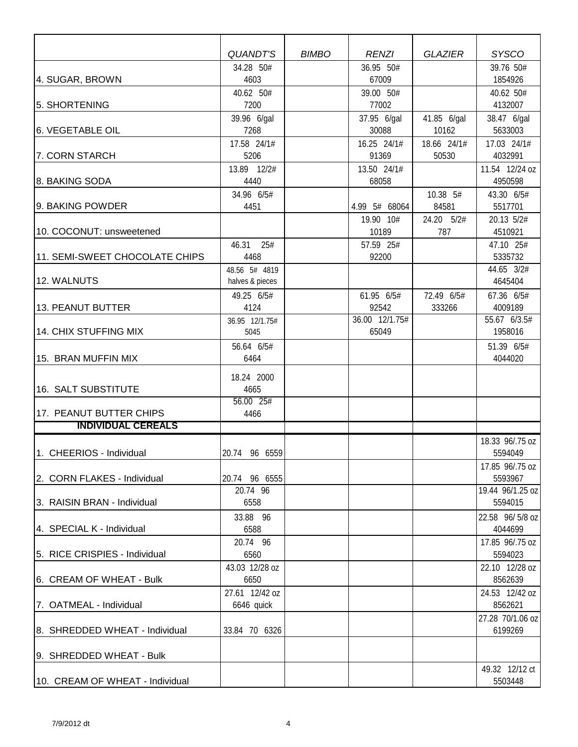|                                 | <b>QUANDT'S</b>                  | <b>BIMBO</b> | <b>RENZI</b>            | <b>GLAZIER</b>       | <b>SYSCO</b>                |
|---------------------------------|----------------------------------|--------------|-------------------------|----------------------|-----------------------------|
|                                 | 34.28 50#                        |              | 36.95 50#               |                      | 39.76 50#                   |
| 4. SUGAR, BROWN                 | 4603                             |              | 67009                   |                      | 1854926                     |
| 5. SHORTENING                   | 40.62 50#<br>7200                |              | 39.00 50#<br>77002      |                      | 40.62 50#<br>4132007        |
| 6. VEGETABLE OIL                | 39.96 6/gal<br>7268              |              | 37.95 6/gal<br>30088    | 41.85 6/gal<br>10162 | 38.47 6/gal<br>5633003      |
|                                 | 17.58 24/1#                      |              | 16.25 24/1#             | 18.66 24/1#          | 17.03 24/1#                 |
| 7. CORN STARCH                  | 5206                             |              | 91369                   | 50530                | 4032991                     |
|                                 | 13.89 12/2#                      |              | 13.50 24/1#             |                      | 11.54 12/24 oz              |
| 8. BAKING SODA                  | 4440<br>34.96 6/5#               |              | 68058                   | 10.38 5#             | 4950598<br>43.30 6/5#       |
| 9. BAKING POWDER                | 4451                             |              | 4.99 5# 68064           | 84581                | 5517701                     |
|                                 |                                  |              | 19.90 10#               | 24.20 5/2#           | 20.13 5/2#                  |
| 10. COCONUT: unsweetened        |                                  |              | 10189                   | 787                  | 4510921                     |
|                                 | 46.31<br>25#                     |              | 57.59 25#               |                      | 47.10 25#                   |
| 11. SEMI-SWEET CHOCOLATE CHIPS  | 4468                             |              | 92200                   |                      | 5335732                     |
| 12. WALNUTS                     | 48.56 5# 4819<br>halves & pieces |              |                         |                      | 44.65 3/2#<br>4645404       |
|                                 | 49.25 6/5#                       |              | 61.95 6/5#              | 72.49 6/5#           | 67.36 6/5#                  |
| 13. PEANUT BUTTER               | 4124                             |              | 92542                   | 333266               | 4009189                     |
| 14. CHIX STUFFING MIX           | 36.95 12/1.75#<br>5045           |              | 36.00 12/1.75#<br>65049 |                      | 55.67 6/3.5#<br>1958016     |
| 15. BRAN MUFFIN MIX             | 56.64 6/5#<br>6464               |              |                         |                      | 51.39 6/5#<br>4044020       |
| 16. SALT SUBSTITUTE             | 18.24 2000<br>4665               |              |                         |                      |                             |
| 17. PEANUT BUTTER CHIPS         | 56.00 25#<br>4466                |              |                         |                      |                             |
| <b>INDIVIDUAL CEREALS</b>       |                                  |              |                         |                      |                             |
|                                 |                                  |              |                         |                      | 18.33 96/.75 oz             |
| 1. CHEERIOS - Individual        | 20.74 96 6559                    |              |                         |                      | 5594049                     |
|                                 |                                  |              |                         |                      | 17.85 96/.75 oz             |
| 2. CORN FLAKES - Individual     | 20.74 96 6555<br>20.74 96        |              |                         |                      | 5593967<br>19.44 96/1.25 oz |
| 3. RAISIN BRAN - Individual     | 6558                             |              |                         |                      | 5594015                     |
|                                 | 33.88 96                         |              |                         |                      | 22.58 96/5/8 oz             |
| 4. SPECIAL K - Individual       | 6588                             |              |                         |                      | 4044699                     |
|                                 | 20.74 96                         |              |                         |                      | 17.85 96/.75 oz             |
| 5. RICE CRISPIES - Individual   | 6560                             |              |                         |                      | 5594023                     |
| 6. CREAM OF WHEAT - Bulk        | 43.03 12/28 oz<br>6650           |              |                         |                      | 22.10 12/28 oz<br>8562639   |
|                                 | 27.61 12/42 oz                   |              |                         |                      | 24.53 12/42 oz              |
| 7. OATMEAL - Individual         | 6646 quick                       |              |                         |                      | 8562621                     |
|                                 |                                  |              |                         |                      | 27.28 70/1.06 oz            |
| 8. SHREDDED WHEAT - Individual  | 33.84 70 6326                    |              |                         |                      | 6199269                     |
| 9. SHREDDED WHEAT - Bulk        |                                  |              |                         |                      |                             |
|                                 |                                  |              |                         |                      | 49.32 12/12 ct              |
| 10. CREAM OF WHEAT - Individual |                                  |              |                         |                      | 5503448                     |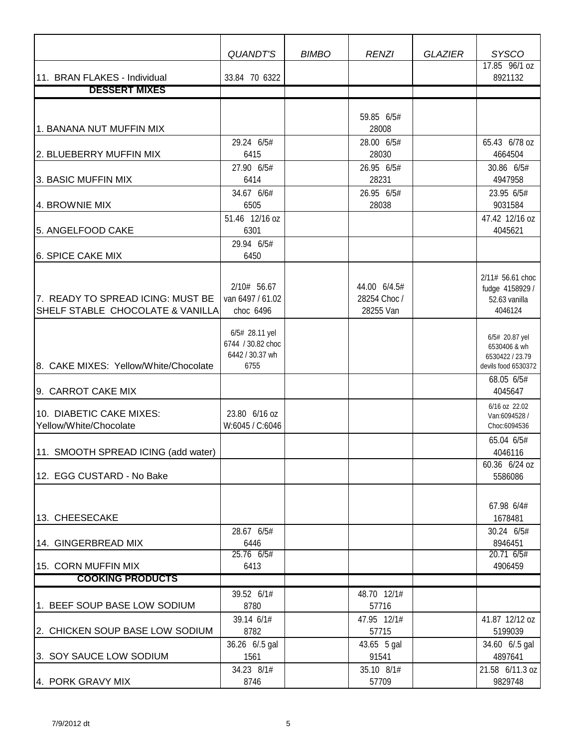|                                                                       | <b>QUANDT'S</b>                                                | <b>BIMBO</b> | <b>RENZI</b>                              | <b>GLAZIER</b> | <b>SYSCO</b>                                                             |
|-----------------------------------------------------------------------|----------------------------------------------------------------|--------------|-------------------------------------------|----------------|--------------------------------------------------------------------------|
| 11. BRAN FLAKES - Individual                                          | 33.84 70 6322                                                  |              |                                           |                | 17.85 96/1 oz<br>8921132                                                 |
| <b>DESSERT MIXES</b>                                                  |                                                                |              |                                           |                |                                                                          |
|                                                                       |                                                                |              |                                           |                |                                                                          |
| 1. BANANA NUT MUFFIN MIX                                              |                                                                |              | 59.85 6/5#<br>28008                       |                |                                                                          |
| 2. BLUEBERRY MUFFIN MIX                                               | 29.24 6/5#<br>6415                                             |              | 28.00 6/5#<br>28030                       |                | 65.43 6/78 oz<br>4664504                                                 |
| 3. BASIC MUFFIN MIX                                                   | 27.90 6/5#<br>6414                                             |              | 26.95 6/5#<br>28231                       |                | 30.86 6/5#<br>4947958                                                    |
| 4. BROWNIE MIX                                                        | 34.67 6/6#<br>6505                                             |              | 26.95 6/5#<br>28038                       |                | 23.95 6/5#<br>9031584                                                    |
| 5. ANGELFOOD CAKE                                                     | 51.46 12/16 oz<br>6301                                         |              |                                           |                | 47.42 12/16 oz<br>4045621                                                |
| <b>6. SPICE CAKE MIX</b>                                              | 29.94 6/5#<br>6450                                             |              |                                           |                |                                                                          |
| 7. READY TO SPREAD ICING: MUST BE<br>SHELF STABLE CHOCOLATE & VANILLA | 2/10# 56.67<br>van 6497 / 61.02<br>choc 6496                   |              | 44.00 6/4.5#<br>28254 Choc /<br>28255 Van |                | 2/11# 56.61 choc<br>fudge 4158929 /<br>52.63 vanilla<br>4046124          |
| 8. CAKE MIXES: Yellow/White/Chocolate                                 | 6/5# 28.11 yel<br>6744 / 30.82 choc<br>6442 / 30.37 wh<br>6755 |              |                                           |                | 6/5# 20.87 yel<br>6530406 & wh<br>6530422 / 23.79<br>devils food 6530372 |
| 9. CARROT CAKE MIX                                                    |                                                                |              |                                           |                | 68.05 6/5#<br>4045647                                                    |
| 10. DIABETIC CAKE MIXES:<br>Yellow/White/Chocolate                    | 23.80 6/16 oz<br>W:6045 / C:6046                               |              |                                           |                | 6/16 oz 22.02<br>Van:6094528 /<br>Choc:6094536                           |
| 11. SMOOTH SPREAD ICING (add water)                                   |                                                                |              |                                           |                | 65.04 6/5#<br>4046116<br>60.36 6/24 oz                                   |
| 12. EGG CUSTARD - No Bake                                             |                                                                |              |                                           |                | 5586086                                                                  |
| 13. CHEESECAKE                                                        |                                                                |              |                                           |                | 67.98 6/4#<br>1678481                                                    |
| 14. GINGERBREAD MIX                                                   | 28.67 6/5#<br>6446                                             |              |                                           |                | 30.24 6/5#<br>8946451                                                    |
| 15. CORN MUFFIN MIX                                                   | 25.76 6/5#<br>6413                                             |              |                                           |                | 20.71 6/5#<br>4906459                                                    |
| <b>COOKING PRODUCTS</b>                                               |                                                                |              |                                           |                |                                                                          |
| 1. BEEF SOUP BASE LOW SODIUM                                          | 39.52 6/1#<br>8780                                             |              | 48.70 12/1#<br>57716                      |                |                                                                          |
| 2. CHICKEN SOUP BASE LOW SODIUM                                       | 39.14 6/1#<br>8782                                             |              | 47.95 12/1#<br>57715                      |                | 41.87 12/12 oz<br>5199039                                                |
| 3. SOY SAUCE LOW SODIUM                                               | 36.26 6/.5 gal<br>1561                                         |              | 43.65 5 gal<br>91541                      |                | 34.60 6/.5 gal<br>4897641                                                |
| 4. PORK GRAVY MIX                                                     | 34.23 8/1#<br>8746                                             |              | 35.10 8/1#<br>57709                       |                | 21.58 6/11.3 oz<br>9829748                                               |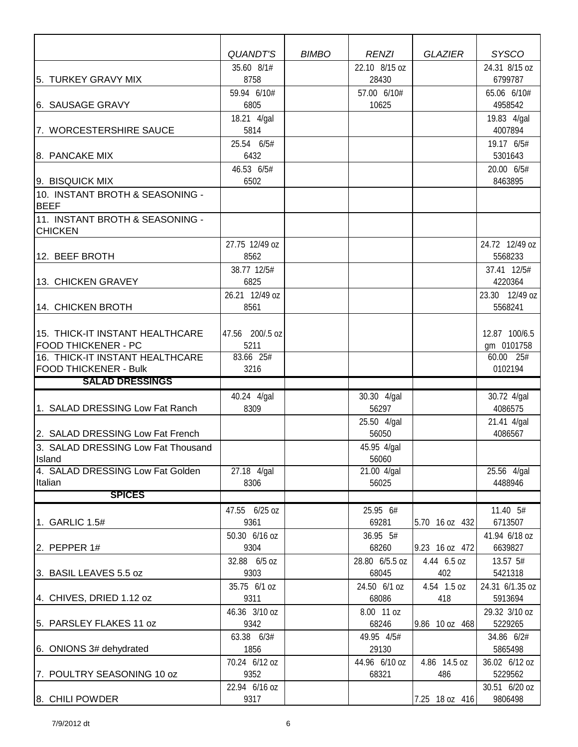|                                                               | <b>QUANDT'S</b>      | <b>BIMBO</b> | <b>RENZI</b>            | <b>GLAZIER</b>     | <b>SYSCO</b>            |
|---------------------------------------------------------------|----------------------|--------------|-------------------------|--------------------|-------------------------|
|                                                               | 35.60 8/1#           |              | 22.10 8/15 oz           |                    | 24.31 8/15 oz           |
| 5. TURKEY GRAVY MIX                                           | 8758                 |              | 28430                   |                    | 6799787                 |
|                                                               | 59.94 6/10#          |              | 57.00 6/10#             |                    | 65.06 6/10#             |
| 6. SAUSAGE GRAVY                                              | 6805                 |              | 10625                   |                    | 4958542                 |
|                                                               | 18.21 4/gal          |              |                         |                    | 19.83 4/gal             |
| 7. WORCESTERSHIRE SAUCE                                       | 5814                 |              |                         |                    | 4007894                 |
|                                                               | 25.54 6/5#           |              |                         |                    | 19.17 6/5#              |
| 8. PANCAKE MIX                                                | 6432                 |              |                         |                    | 5301643                 |
|                                                               | 46.53 6/5#           |              |                         |                    | 20.00 6/5#              |
| 9. BISQUICK MIX                                               | 6502                 |              |                         |                    | 8463895                 |
| 10. INSTANT BROTH & SEASONING -<br><b>BEEF</b>                |                      |              |                         |                    |                         |
| 11. INSTANT BROTH & SEASONING -                               |                      |              |                         |                    |                         |
| <b>CHICKEN</b>                                                |                      |              |                         |                    |                         |
|                                                               | 27.75 12/49 oz       |              |                         |                    | 24.72 12/49 oz          |
| 12. BEEF BROTH                                                | 8562                 |              |                         |                    | 5568233                 |
|                                                               | 38.77 12/5#          |              |                         |                    | 37.41 12/5#             |
| 13. CHICKEN GRAVEY                                            | 6825                 |              |                         |                    | 4220364                 |
|                                                               | 26.21 12/49 oz       |              |                         |                    | 23.30 12/49 oz          |
| 14. CHICKEN BROTH                                             | 8561                 |              |                         |                    | 5568241                 |
|                                                               |                      |              |                         |                    |                         |
| 15. THICK-IT INSTANT HEALTHCARE                               | 47.56 200/.5 oz      |              |                         |                    | 12.87 100/6.5           |
| <b>FOOD THICKENER - PC</b><br>16. THICK-IT INSTANT HEALTHCARE | 5211<br>83.66 25#    |              |                         |                    | gm 0101758<br>60.00 25# |
| <b>FOOD THICKENER - Bulk</b>                                  | 3216                 |              |                         |                    | 0102194                 |
| <b>SALAD DRESSINGS</b>                                        |                      |              |                         |                    |                         |
|                                                               | 40.24 4/gal          |              | 30.30 4/gal             |                    | 30.72 4/gal             |
| 1. SALAD DRESSING Low Fat Ranch                               | 8309                 |              | 56297                   |                    | 4086575                 |
|                                                               |                      |              | 25.50 4/gal             |                    | 21.41 4/gal             |
| 2. SALAD DRESSING Low Fat French                              |                      |              | 56050                   |                    | 4086567                 |
| 3. SALAD DRESSING Low Fat Thousand                            |                      |              | 45.95 4/gal             |                    |                         |
| Island                                                        |                      |              | 56060                   |                    |                         |
| 4. SALAD DRESSING Low Fat Golden                              | 27.18 4/gal          |              | 21.00 4/gal             |                    | $25.56$ 4/gal           |
| Italian                                                       | 8306                 |              | 56025                   |                    | 4488946                 |
| <b>SPICES</b>                                                 |                      |              |                         |                    |                         |
|                                                               | 47.55 6/25 oz        |              | 25.95 6#                |                    | 11.40 5#                |
| 1. GARLIC 1.5#                                                | 9361                 |              | 69281                   | 5.70 16 oz 432     | 6713507                 |
|                                                               | 50.30 6/16 oz        |              | 36.95 5#                |                    | 41.94 6/18 oz           |
| $\vert$ 2. PEPPER 1#                                          | 9304                 |              | 68260                   | 9.23 16 oz 472     | 6639827                 |
| 3. BASIL LEAVES 5.5 oz                                        | 32.88 6/5 oz<br>9303 |              | 28.80 6/5.5 oz<br>68045 | 4.44 6.5 oz<br>402 | 13.57 5#<br>5421318     |
|                                                               | 35.75 6/1 oz         |              | 24.50 6/1 oz            | 4.54 1.5 oz        | 24.31 6/1.35 oz         |
| 4. CHIVES, DRIED 1.12 oz                                      | 9311                 |              | 68086                   | 418                | 5913694                 |
|                                                               | 46.36 3/10 oz        |              | 8.00 11 oz              |                    | 29.32 3/10 oz           |
| 5. PARSLEY FLAKES 11 oz                                       | 9342                 |              | 68246                   | 9.86 10 oz 468     | 5229265                 |
|                                                               | 63.38 6/3#           |              | 49.95 4/5#              |                    | 34.86 6/2#              |
| 6. ONIONS 3# dehydrated                                       | 1856                 |              | 29130                   |                    | 5865498                 |
|                                                               | 70.24 6/12 oz        |              | 44.96 6/10 oz           | 4.86 14.5 oz       | 36.02 6/12 oz           |
| 7. POULTRY SEASONING 10 oz                                    | 9352                 |              | 68321                   | 486                | 5229562                 |
|                                                               | 22.94 6/16 oz        |              |                         |                    | 30.51 6/20 oz           |
| 8. CHILI POWDER                                               | 9317                 |              |                         | 7.25 18 oz 416     | 9806498                 |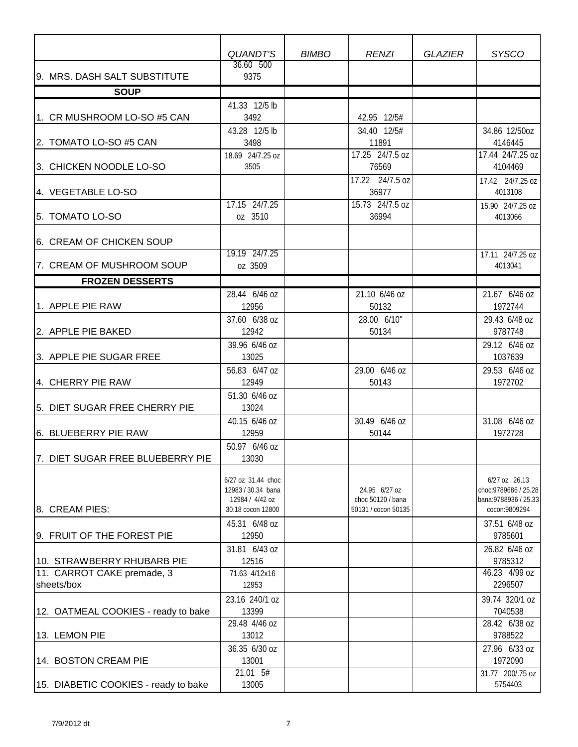|                                      | QUANDT'S                                 | <b>BIMBO</b> | <b>RENZI</b>        | <b>GLAZIER</b> | <b>SYSCO</b>                           |
|--------------------------------------|------------------------------------------|--------------|---------------------|----------------|----------------------------------------|
| 9. MRS. DASH SALT SUBSTITUTE         | 36.60 500<br>9375                        |              |                     |                |                                        |
| <b>SOUP</b>                          |                                          |              |                     |                |                                        |
|                                      | 41.33 12/5 lb                            |              |                     |                |                                        |
| 1. CR MUSHROOM LO-SO #5 CAN          | 3492                                     |              | 42.95 12/5#         |                |                                        |
|                                      | 43.28 12/5 lb                            |              | 34.40 12/5#         |                | 34.86 12/50oz                          |
| 2. TOMATO LO-SO #5 CAN               | 3498                                     |              | 11891               |                | 4146445                                |
|                                      | 18.69 24/7.25 oz                         |              | 17.25 24/7.5 oz     |                | 17.44 24/7.25 oz                       |
| 3. CHICKEN NOODLE LO-SO              | 3505                                     |              | 76569               |                | 4104469                                |
|                                      |                                          |              | 17.22 24/7.5 oz     |                | 17.42 24/7.25 oz                       |
| 4. VEGETABLE LO-SO                   |                                          |              | 36977               |                | 4013108                                |
|                                      | 17.15 24/7.25                            |              | 15.73 24/7.5 oz     |                | 15.90 24/7.25 oz                       |
| 5. TOMATO LO-SO                      | oz 3510                                  |              | 36994               |                | 4013066                                |
|                                      |                                          |              |                     |                |                                        |
| 6. CREAM OF CHICKEN SOUP             |                                          |              |                     |                |                                        |
|                                      | 19.19 24/7.25                            |              |                     |                | 17.11 24/7.25 oz                       |
| 7. CREAM OF MUSHROOM SOUP            | oz 3509                                  |              |                     |                | 4013041                                |
| <b>FROZEN DESSERTS</b>               |                                          |              |                     |                |                                        |
|                                      | 28.44 6/46 oz                            |              | 21.10 6/46 oz       |                | 21.67 6/46 oz                          |
| 1. APPLE PIE RAW                     | 12956                                    |              | 50132               |                | 1972744                                |
|                                      | 37.60 6/38 oz                            |              | 28.00 6/10"         |                | 29.43 6/48 oz                          |
| 2. APPLE PIE BAKED                   | 12942                                    |              | 50134               |                | 9787748                                |
|                                      | 39.96 6/46 oz                            |              |                     |                | 29.12 6/46 oz                          |
| 3. APPLE PIE SUGAR FREE              | 13025                                    |              |                     |                | 1037639                                |
|                                      | 56.83 6/47 oz                            |              | 29.00 6/46 oz       |                | 29.53 6/46 oz                          |
| 4. CHERRY PIE RAW                    | 12949                                    |              | 50143               |                | 1972702                                |
|                                      | 51.30 6/46 oz                            |              |                     |                |                                        |
| 5. DIET SUGAR FREE CHERRY PIE        | 13024                                    |              |                     |                |                                        |
|                                      | 40.15 6/46 oz                            |              | 30.49 6/46 oz       |                | 31.08 6/46 oz                          |
| 6. BLUEBERRY PIE RAW                 | 12959                                    |              | 50144               |                | 1972728                                |
|                                      | 50.97 6/46 oz                            |              |                     |                |                                        |
| 7. DIET SUGAR FREE BLUEBERRY PIE     | 13030                                    |              |                     |                |                                        |
|                                      |                                          |              |                     |                |                                        |
|                                      | 6/27 oz 31.44 choc<br>12983 / 30.34 bana |              | 24.95 6/27 oz       |                | 6/27 oz 26.13<br>choc: 9789686 / 25.28 |
|                                      | 12984 / 4/42 oz                          |              | choc 50120 / bana   |                | bana: 9788936 / 25.33                  |
| 8. CREAM PIES:                       | 30.18 cocon 12800                        |              | 50131 / cocon 50135 |                | cocon:9809294                          |
|                                      | 45.31 6/48 oz                            |              |                     |                | 37.51 6/48 oz                          |
| 9. FRUIT OF THE FOREST PIE           | 12950                                    |              |                     |                | 9785601                                |
|                                      | 31.81 6/43 oz                            |              |                     |                | 26.82 6/46 oz                          |
| 10. STRAWBERRY RHUBARB PIE           | 12516                                    |              |                     |                | 9785312                                |
| 11. CARROT CAKE premade, 3           | 71.63 4/12x16                            |              |                     |                | 46.23 4/99 oz                          |
| sheets/box                           | 12953                                    |              |                     |                | 2296507                                |
|                                      | 23.16 240/1 oz                           |              |                     |                | 39.74 320/1 oz                         |
| 12. OATMEAL COOKIES - ready to bake  | 13399                                    |              |                     |                | 7040538                                |
|                                      | 29.48 4/46 oz                            |              |                     |                | 28.42 6/38 oz                          |
| 13. LEMON PIE                        | 13012                                    |              |                     |                | 9788522                                |
|                                      | 36.35 6/30 oz                            |              |                     |                | 27.96 6/33 oz                          |
| 14. BOSTON CREAM PIE                 | 13001                                    |              |                     |                | 1972090                                |
|                                      | 21.01 5#                                 |              |                     |                | 31.77 200/.75 oz                       |
| 15. DIABETIC COOKIES - ready to bake | 13005                                    |              |                     |                | 5754403                                |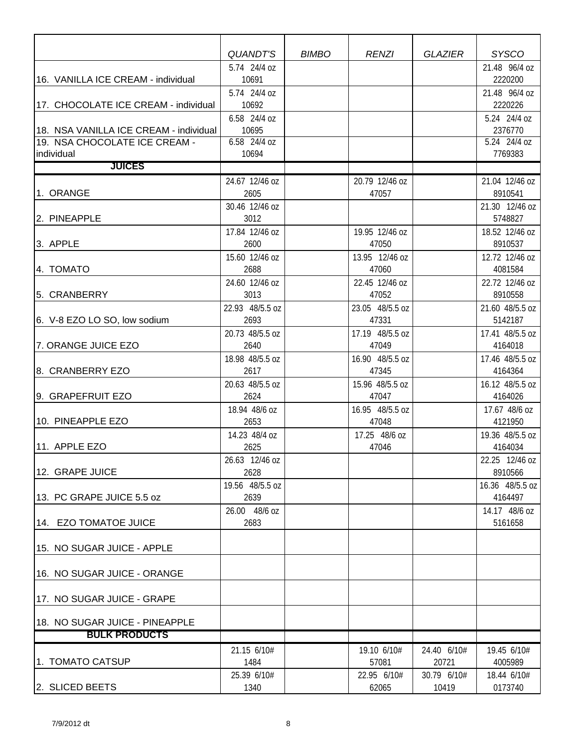|                                        | QUANDT'S                | <b>BIMBO</b> | <b>RENZI</b>             | <b>GLAZIER</b> | <b>SYSCO</b>               |
|----------------------------------------|-------------------------|--------------|--------------------------|----------------|----------------------------|
|                                        | 5.74 24/4 oz            |              |                          |                | 21.48 96/4 oz              |
| 16. VANILLA ICE CREAM - individual     | 10691                   |              |                          |                | 2220200                    |
|                                        | 5.74 24/4 oz            |              |                          |                | 21.48 96/4 oz              |
| 17. CHOCOLATE ICE CREAM - individual   | 10692                   |              |                          |                | 2220226                    |
| 18. NSA VANILLA ICE CREAM - individual | 6.58 24/4 oz<br>10695   |              |                          |                | 5.24 24/4 oz<br>2376770    |
| 19. NSA CHOCOLATE ICE CREAM -          | 6.58 24/4 oz            |              |                          |                | 5.24 24/4 oz               |
| individual                             | 10694                   |              |                          |                | 7769383                    |
| <b>JUICES</b>                          |                         |              |                          |                |                            |
|                                        | 24.67 12/46 oz          |              | 20.79 12/46 oz           |                | 21.04 12/46 oz             |
| 1. ORANGE                              | 2605                    |              | 47057                    |                | 8910541                    |
|                                        | 30.46 12/46 oz          |              |                          |                | 21.30 12/46 oz             |
| 2. PINEAPPLE                           | 3012                    |              |                          |                | 5748827                    |
|                                        | 17.84 12/46 oz          |              | 19.95 12/46 oz           |                | 18.52 12/46 oz             |
| 3. APPLE                               | 2600                    |              | 47050                    |                | 8910537                    |
|                                        | 15.60 12/46 oz          |              | 13.95 12/46 oz           |                | 12.72 12/46 oz             |
| 4. TOMATO                              | 2688                    |              | 47060                    |                | 4081584                    |
|                                        | 24.60 12/46 oz          |              | 22.45 12/46 oz           |                | 22.72 12/46 oz             |
| 5. CRANBERRY                           | 3013                    |              | 47052                    |                | 8910558                    |
|                                        | 22.93 48/5.5 oz         |              | 23.05 48/5.5 oz          |                | 21.60 48/5.5 oz            |
| 6. V-8 EZO LO SO, low sodium           | 2693                    |              | 47331                    |                | 5142187                    |
|                                        | 20.73 48/5.5 oz         |              | 17.19 48/5.5 oz          |                | 17.41 48/5.5 oz            |
| 7. ORANGE JUICE EZO                    | 2640                    |              | 47049                    |                | 4164018                    |
| 8. CRANBERRY EZO                       | 18.98 48/5.5 oz<br>2617 |              | 16.90 48/5.5 oz<br>47345 |                | 17.46 48/5.5 oz<br>4164364 |
|                                        | 20.63 48/5.5 oz         |              | 15.96 48/5.5 oz          |                | 16.12 48/5.5 oz            |
| 9. GRAPEFRUIT EZO                      | 2624                    |              | 47047                    |                | 4164026                    |
|                                        | 18.94 48/6 oz           |              | 16.95 48/5.5 oz          |                | 17.67 48/6 oz              |
| 10. PINEAPPLE EZO                      | 2653                    |              | 47048                    |                | 4121950                    |
|                                        | 14.23 48/4 oz           |              | 17.25 48/6 oz            |                | 19.36 48/5.5 oz            |
| 11. APPLE EZO                          | 2625                    |              | 47046                    |                | 4164034                    |
|                                        | 26.63 12/46 oz          |              |                          |                | 22.25 12/46 oz             |
| 12. GRAPE JUICE                        | 2628                    |              |                          |                | 8910566                    |
|                                        | 19.56 48/5.5 oz         |              |                          |                | 16.36 48/5.5 oz            |
| 13. PC GRAPE JUICE 5.5 oz              | 2639                    |              |                          |                | 4164497                    |
|                                        | 26.00 48/6 oz           |              |                          |                | 14.17 48/6 oz              |
| 14. EZO TOMATOE JUICE                  | 2683                    |              |                          |                | 5161658                    |
|                                        |                         |              |                          |                |                            |
| 15. NO SUGAR JUICE - APPLE             |                         |              |                          |                |                            |
| 16. NO SUGAR JUICE - ORANGE            |                         |              |                          |                |                            |
|                                        |                         |              |                          |                |                            |
| 17. NO SUGAR JUICE - GRAPE             |                         |              |                          |                |                            |
|                                        |                         |              |                          |                |                            |
| 18. NO SUGAR JUICE - PINEAPPLE         |                         |              |                          |                |                            |
| <b>BULK PRODUCTS</b>                   |                         |              |                          |                |                            |
|                                        | 21.15 6/10#             |              | 19.10 6/10#              | 24.40 6/10#    | 19.45 6/10#                |
| 1. TOMATO CATSUP                       | 1484                    |              | 57081                    | 20721          | 4005989                    |
|                                        | 25.39 6/10#             |              | 22.95 6/10#              | 30.79 6/10#    | 18.44 6/10#                |
| 2. SLICED BEETS                        | 1340                    |              | 62065                    | 10419          | 0173740                    |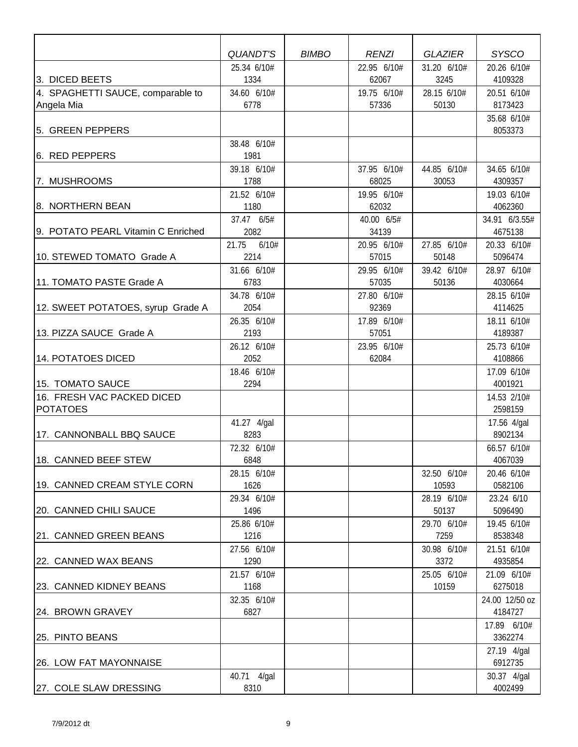|                                               |                     | <b>BIMBO</b> |                      |                     | <b>SYSCO</b>           |
|-----------------------------------------------|---------------------|--------------|----------------------|---------------------|------------------------|
|                                               | QUANDT'S            |              | <b>RENZI</b>         | <b>GLAZIER</b>      |                        |
| 3. DICED BEETS                                | 25.34 6/10#<br>1334 |              | 22.95 6/10#<br>62067 | 31.20 6/10#<br>3245 | 20.26 6/10#<br>4109328 |
| 4. SPAGHETTI SAUCE, comparable to             | 34.60 6/10#         |              | 19.75 6/10#          | 28.15 6/10#         | 20.51 6/10#            |
| Angela Mia                                    | 6778                |              | 57336                | 50130               | 8173423                |
| 5. GREEN PEPPERS                              |                     |              |                      |                     | 35.68 6/10#<br>8053373 |
|                                               | 38.48 6/10#         |              |                      |                     |                        |
| 6. RED PEPPERS                                | 1981                |              |                      |                     |                        |
|                                               | 39.18 6/10#         |              | 37.95 6/10#          | 44.85 6/10#         | 34.65 6/10#            |
| 7. MUSHROOMS                                  | 1788                |              | 68025                | 30053               | 4309357                |
|                                               | 21.52 6/10#         |              | 19.95 6/10#          |                     | 19.03 6/10#            |
| 8. NORTHERN BEAN                              | 1180                |              | 62032                |                     | 4062360                |
|                                               | 37.47 6/5#          |              | 40.00 6/5#           |                     | 34.91 6/3.55#          |
| 9. POTATO PEARL Vitamin C Enriched            | 2082                |              | 34139                |                     | 4675138                |
|                                               | 6/10#<br>21.75      |              | 20.95 6/10#          | 27.85 6/10#         | 20.33 6/10#            |
| 10. STEWED TOMATO Grade A                     | 2214                |              | 57015                | 50148               | 5096474                |
|                                               | 31.66 6/10#         |              | 29.95 6/10#          | 39.42 6/10#         | 28.97 6/10#            |
| 11. TOMATO PASTE Grade A                      | 6783                |              | 57035                | 50136               | 4030664                |
|                                               | 34.78 6/10#         |              | 27.80 6/10#          |                     | 28.15 6/10#            |
| 12. SWEET POTATOES, syrup Grade A             | 2054                |              | 92369                |                     | 4114625                |
|                                               | 26.35 6/10#         |              | 17.89 6/10#          |                     | 18.11 6/10#            |
| 13. PIZZA SAUCE Grade A                       | 2193                |              | 57051                |                     | 4189387                |
|                                               | 26.12 6/10#         |              | 23.95 6/10#          |                     | 25.73 6/10#            |
| 14. POTATOES DICED                            | 2052                |              | 62084                |                     | 4108866                |
|                                               | 18.46 6/10#         |              |                      |                     | 17.09 6/10#            |
| 15. TOMATO SAUCE                              | 2294                |              |                      |                     | 4001921                |
| 16. FRESH VAC PACKED DICED<br><b>POTATOES</b> |                     |              |                      |                     | 14.53 2/10#<br>2598159 |
|                                               | 41.27 4/gal         |              |                      |                     | 17.56 4/gal            |
| 17. CANNONBALL BBQ SAUCE                      | 8283                |              |                      |                     | 8902134                |
|                                               | 72.32 6/10#         |              |                      |                     | 66.57 6/10#            |
| 18. CANNED BEEF STEW                          | 6848                |              |                      |                     | 4067039                |
|                                               | 28.15 6/10#         |              |                      | 32.50 6/10#         | 20.46 6/10#            |
| 19. CANNED CREAM STYLE CORN                   | 1626                |              |                      | 10593               | 0582106                |
|                                               | 29.34 6/10#         |              |                      | 28.19 6/10#         | 23.24 6/10             |
| 20. CANNED CHILI SAUCE                        | 1496                |              |                      | 50137               | 5096490                |
|                                               | 25.86 6/10#         |              |                      | 29.70 6/10#         | 19.45 6/10#            |
| 21. CANNED GREEN BEANS                        | 1216                |              |                      | 7259                | 8538348                |
|                                               | 27.56 6/10#         |              |                      | 30.98 6/10#         | 21.51 6/10#            |
| 22. CANNED WAX BEANS                          | 1290                |              |                      | 3372                | 4935854                |
|                                               | 21.57 6/10#         |              |                      | 25.05 6/10#         | 21.09 6/10#            |
| 23. CANNED KIDNEY BEANS                       | 1168                |              |                      | 10159               | 6275018                |
|                                               | 32.35 6/10#         |              |                      |                     | 24.00 12/50 oz         |
| 24. BROWN GRAVEY                              | 6827                |              |                      |                     | 4184727                |
|                                               |                     |              |                      |                     | 17.89 6/10#            |
| 25. PINTO BEANS                               |                     |              |                      |                     | 3362274                |
|                                               |                     |              |                      |                     | 27.19 4/gal            |
| 26. LOW FAT MAYONNAISE                        |                     |              |                      |                     | 6912735                |
|                                               | 40.71 4/gal         |              |                      |                     | 30.37 4/gal            |
| 27. COLE SLAW DRESSING                        | 8310                |              |                      |                     | 4002499                |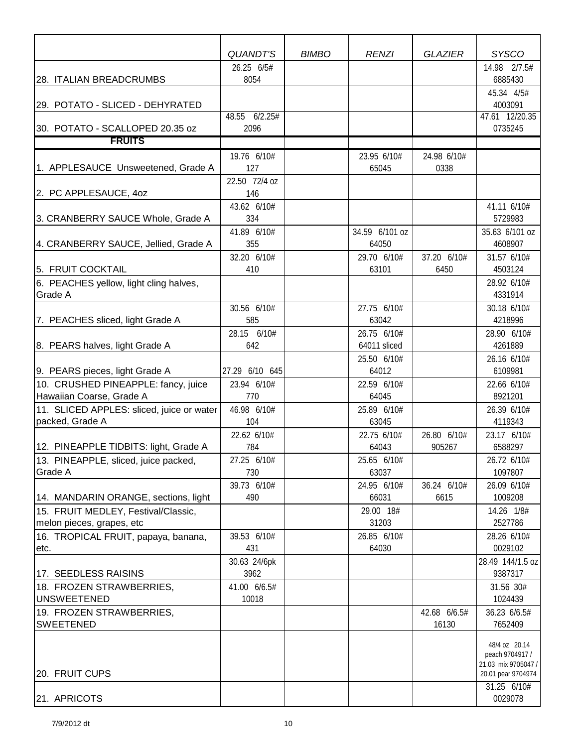|                                                  | <b>QUANDT'S</b>    | <b>BIMBO</b> | <b>RENZI</b>         | <b>GLAZIER</b>      | <b>SYSCO</b>                           |
|--------------------------------------------------|--------------------|--------------|----------------------|---------------------|----------------------------------------|
|                                                  | 26.25 6/5#         |              |                      |                     | 14.98 2/7.5#                           |
| 28. ITALIAN BREADCRUMBS                          | 8054               |              |                      |                     | 6885430                                |
|                                                  |                    |              |                      |                     | 45.34 4/5#                             |
| 29. POTATO - SLICED - DEHYRATED                  |                    |              |                      |                     | 4003091                                |
|                                                  | 48.55 6/2.25#      |              |                      |                     | 47.61 12/20.35                         |
| 30. POTATO - SCALLOPED 20.35 oz<br><b>FRUITS</b> | 2096               |              |                      |                     | 0735245                                |
|                                                  |                    |              |                      |                     |                                        |
| 1. APPLESAUCE Unsweetened, Grade A               | 19.76 6/10#<br>127 |              | 23.95 6/10#<br>65045 | 24.98 6/10#<br>0338 |                                        |
|                                                  | 22.50 72/4 oz      |              |                      |                     |                                        |
| 2. PC APPLESAUCE, 40Z                            | 146                |              |                      |                     |                                        |
|                                                  | 43.62 6/10#        |              |                      |                     | 41.11 6/10#                            |
| 3. CRANBERRY SAUCE Whole, Grade A                | 334                |              |                      |                     | 5729983                                |
|                                                  | 41.89 6/10#        |              | 34.59 6/101 oz       |                     | 35.63 6/101 oz                         |
| 4. CRANBERRY SAUCE, Jellied, Grade A             | 355                |              | 64050                |                     | 4608907                                |
|                                                  | 32.20 6/10#        |              | 29.70 6/10#          | 37.20 6/10#         | 31.57 6/10#                            |
| 5. FRUIT COCKTAIL                                | 410                |              | 63101                | 6450                | 4503124                                |
| 6. PEACHES yellow, light cling halves,           |                    |              |                      |                     | 28.92 6/10#                            |
| Grade A                                          |                    |              |                      |                     | 4331914                                |
| 7. PEACHES sliced, light Grade A                 | 30.56 6/10#<br>585 |              | 27.75 6/10#<br>63042 |                     | 30.18 6/10#<br>4218996                 |
|                                                  | 28.15 6/10#        |              | 26.75 6/10#          |                     | 28.90 6/10#                            |
| 8. PEARS halves, light Grade A                   | 642                |              | 64011 sliced         |                     | 4261889                                |
|                                                  |                    |              | 25.50 6/10#          |                     | 26.16 6/10#                            |
| 9. PEARS pieces, light Grade A                   | 27.29 6/10 645     |              | 64012                |                     | 6109981                                |
| 10. CRUSHED PINEAPPLE: fancy, juice              | 23.94 6/10#        |              | 22.59 6/10#          |                     | 22.66 6/10#                            |
| Hawaiian Coarse, Grade A                         | 770                |              | 64045                |                     | 8921201                                |
| 11. SLICED APPLES: sliced, juice or water        | 46.98 6/10#        |              | 25.89 6/10#          |                     | 26.39 6/10#                            |
| packed, Grade A                                  | 104                |              | 63045                |                     | 4119343                                |
|                                                  | 22.62 6/10#        |              | 22.75 6/10#          | 26.80 6/10#         | 23.17 6/10#                            |
| 12. PINEAPPLE TIDBITS: light, Grade A            | 784                |              | 64043                | 905267              | 6588297                                |
| 13. PINEAPPLE, sliced, juice packed,             | 27.25 6/10#        |              | 25.65 6/10#          |                     | 26.72 6/10#                            |
| Grade A                                          | 730<br>39.73 6/10# |              | 63037<br>24.95 6/10# | 36.24 6/10#         | 1097807<br>26.09 6/10#                 |
| 14. MANDARIN ORANGE, sections, light             | 490                |              | 66031                | 6615                | 1009208                                |
| 15. FRUIT MEDLEY, Festival/Classic,              |                    |              | 29.00 18#            |                     | 14.26 1/8#                             |
| melon pieces, grapes, etc                        |                    |              | 31203                |                     | 2527786                                |
| 16. TROPICAL FRUIT, papaya, banana,              | 39.53 6/10#        |              | 26.85 6/10#          |                     | 28.26 6/10#                            |
| etc.                                             | 431                |              | 64030                |                     | 0029102                                |
|                                                  | 30.63 24/6pk       |              |                      |                     | 28.49 144/1.5 oz                       |
| 17. SEEDLESS RAISINS                             | 3962               |              |                      |                     | 9387317                                |
| 18. FROZEN STRAWBERRIES,                         | 41.00 6/6.5#       |              |                      |                     | 31.56 30#                              |
| <b>UNSWEETENED</b>                               | 10018              |              |                      |                     | 1024439                                |
| 19. FROZEN STRAWBERRIES,<br><b>SWEETENED</b>     |                    |              |                      | 42.68 6/6.5#        | 36.23 6/6.5#                           |
|                                                  |                    |              |                      | 16130               | 7652409                                |
|                                                  |                    |              |                      |                     | 48/4 oz 20.14                          |
|                                                  |                    |              |                      |                     | peach 9704917 /<br>21.03 mix 9705047 / |
| 20. FRUIT CUPS                                   |                    |              |                      |                     | 20.01 pear 9704974                     |
|                                                  |                    |              |                      |                     | 31.25 6/10#                            |
| 21. APRICOTS                                     |                    |              |                      |                     | 0029078                                |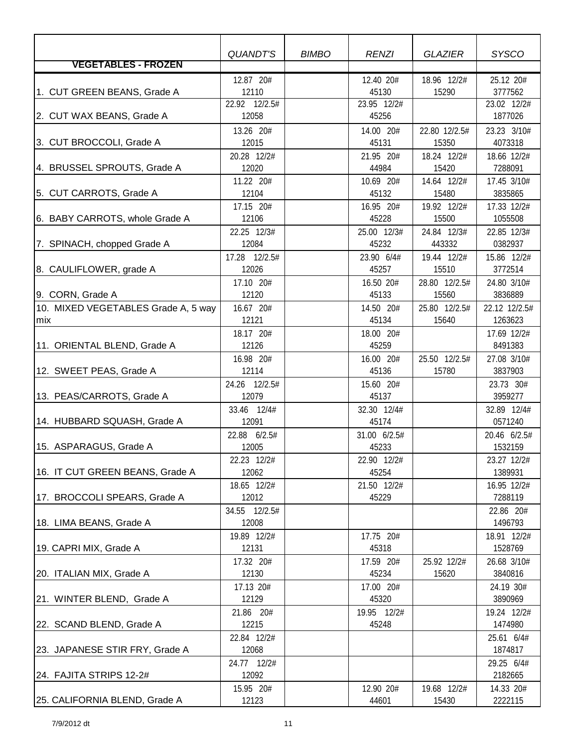|                                     | QUANDT'S           | <b>BIMBO</b> | <b>RENZI</b>         | <b>GLAZIER</b>       | <b>SYSCO</b>           |
|-------------------------------------|--------------------|--------------|----------------------|----------------------|------------------------|
| <b>VEGETABLES - FROZEN</b>          |                    |              |                      |                      |                        |
|                                     | 12.87 20#          |              | 12.40 20#            | 18.96 12/2#          | 25.12 20#              |
| 1. CUT GREEN BEANS, Grade A         | 12110              |              | 45130                | 15290                | 3777562                |
|                                     | 22.92 12/2.5#      |              | 23.95 12/2#          |                      | 23.02 12/2#            |
| 2. CUT WAX BEANS, Grade A           | 12058              |              | 45256                |                      | 1877026                |
|                                     | 13.26 20#          |              | 14.00 20#            | 22.80 12/2.5#        | 23.23 3/10#            |
| 3. CUT BROCCOLI, Grade A            | 12015              |              | 45131                | 15350                | 4073318                |
|                                     | 20.28 12/2#        |              | 21.95 20#            | 18.24 12/2#          | 18.66 12/2#            |
| 4. BRUSSEL SPROUTS, Grade A         | 12020              |              | 44984                | 15420                | 7288091                |
|                                     | 11.22 20#          |              | 10.69 20#            | 14.64 12/2#          | 17.45 3/10#            |
| 5. CUT CARROTS, Grade A             | 12104              |              | 45132                | 15480                | 3835865                |
|                                     | 17.15 20#          |              | 16.95 20#            | 19.92 12/2#          | 17.33 12/2#            |
| 6. BABY CARROTS, whole Grade A      | 12106              |              | 45228                | 15500                | 1055508                |
|                                     | 22.25 12/3#        |              | 25.00 12/3#          | 24.84 12/3#          | 22.85 12/3#            |
| 7. SPINACH, chopped Grade A         | 12084              |              | 45232                | 443332               | 0382937                |
|                                     | 17.28 12/2.5#      |              | 23.90 6/4#           | 19.44 12/2#          | 15.86 12/2#            |
| 8. CAULIFLOWER, grade A             | 12026              |              | 45257                | 15510                | 3772514                |
|                                     | 17.10 20#          |              | 16.50 20#            | 28.80 12/2.5#        | 24.80 3/10#            |
| 9. CORN, Grade A                    | 12120              |              | 45133                | 15560                | 3836889                |
| 10. MIXED VEGETABLES Grade A, 5 way | 16.67 20#          |              | 14.50 20#            | 25.80 12/2.5#        | 22.12 12/2.5#          |
| mix                                 | 12121              |              | 45134                | 15640                | 1263623                |
|                                     | 18.17 20#          |              | 18.00 20#            |                      | 17.69 12/2#            |
| 11. ORIENTAL BLEND, Grade A         | 12126              |              | 45259                |                      | 8491383                |
|                                     | 16.98 20#          |              | 16.00 20#            | 25.50 12/2.5#        | 27.08 3/10#            |
| 12. SWEET PEAS, Grade A             | 12114              |              | 45136                | 15780                | 3837903                |
|                                     | 24.26 12/2.5#      |              | 15.60 20#            |                      | 23.73 30#              |
| 13. PEAS/CARROTS, Grade A           | 12079              |              | 45137                |                      | 3959277                |
|                                     | 33.46 12/4#        |              | 32.30 12/4#          |                      | 32.89 12/4#            |
| 14. HUBBARD SQUASH, Grade A         | 12091              |              | 45174                |                      | 0571240                |
|                                     | 22.88 6/2.5#       |              | 31.00 6/2.5#         |                      | 20.46 6/2.5#           |
| 15. ASPARAGUS, Grade A              | 12005              |              | 45233                |                      | 1532159                |
|                                     | 22.23 12/2#        |              | 22.90 12/2#          |                      | 23.27 12/2#            |
| 16. IT CUT GREEN BEANS, Grade A     | 12062              |              | 45254                |                      | 1389931                |
|                                     | 18.65 12/2#        |              | 21.50 12/2#          |                      | 16.95 12/2#            |
| 17. BROCCOLI SPEARS, Grade A        | 12012              |              | 45229                |                      | 7288119                |
|                                     | 34.55 12/2.5#      |              |                      |                      | 22.86 20#              |
| 18. LIMA BEANS, Grade A             | 12008              |              |                      |                      | 1496793                |
| 19. CAPRI MIX, Grade A              | 19.89 12/2#        |              | 17.75 20#            |                      | 18.91 12/2#            |
|                                     | 12131              |              | 45318                |                      | 1528769                |
| 20. ITALIAN MIX, Grade A            | 17.32 20#<br>12130 |              | 17.59 20#<br>45234   | 25.92 12/2#<br>15620 | 26.68 3/10#<br>3840816 |
|                                     | 17.13 20#          |              | 17.00 20#            |                      |                        |
| 21. WINTER BLEND, Grade A           | 12129              |              | 45320                |                      | 24.19 30#<br>3890969   |
|                                     |                    |              |                      |                      |                        |
| 22. SCAND BLEND, Grade A            | 21.86 20#<br>12215 |              | 19.95 12/2#<br>45248 |                      | 19.24 12/2#<br>1474980 |
|                                     | 22.84 12/2#        |              |                      |                      | 25.61 6/4#             |
| 23. JAPANESE STIR FRY, Grade A      | 12068              |              |                      |                      | 1874817                |
|                                     | 24.77 12/2#        |              |                      |                      | 29.25 6/4#             |
| 24. FAJITA STRIPS 12-2#             | 12092              |              |                      |                      | 2182665                |
|                                     | 15.95 20#          |              | 12.90 20#            | 19.68 12/2#          | 14.33 20#              |
| 25. CALIFORNIA BLEND, Grade A       | 12123              |              | 44601                | 15430                | 2222115                |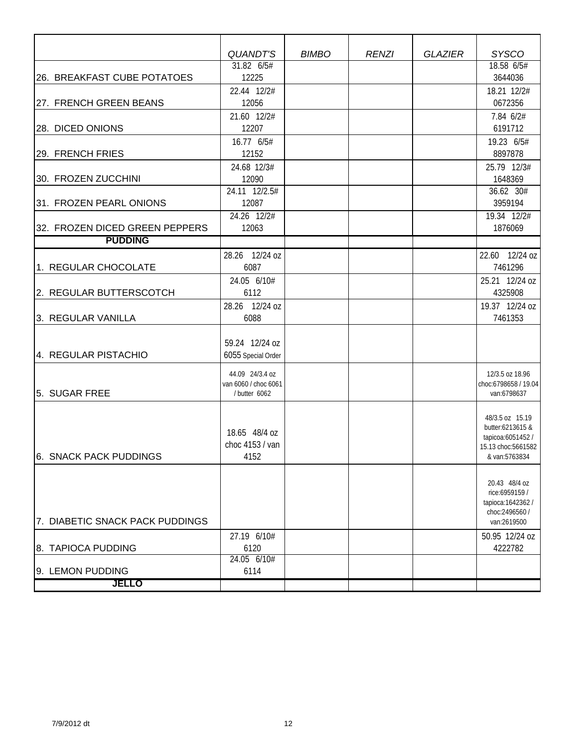|                                 | <b>QUANDT'S</b>      | <b>BIMBO</b> | <b>RENZI</b> | <b>GLAZIER</b> | <b>SYSCO</b>                        |
|---------------------------------|----------------------|--------------|--------------|----------------|-------------------------------------|
|                                 | $31.82$ 6/5#         |              |              |                | 18.58 6/5#                          |
| 26. BREAKFAST CUBE POTATOES     | 12225                |              |              |                | 3644036                             |
|                                 | 22.44 12/2#          |              |              |                | 18.21 12/2#                         |
| 27. FRENCH GREEN BEANS          | 12056                |              |              |                | 0672356                             |
|                                 | 21.60 12/2#          |              |              |                | 7.84 6/2#                           |
| 28. DICED ONIONS                | 12207                |              |              |                | 6191712                             |
|                                 | 16.77 6/5#           |              |              |                | 19.23 6/5#                          |
| 29. FRENCH FRIES                | 12152                |              |              |                | 8897878                             |
|                                 | 24.68 12/3#          |              |              |                | 25.79 12/3#                         |
| 30. FROZEN ZUCCHINI             | 12090                |              |              |                | 1648369                             |
|                                 | 24.11 12/2.5#        |              |              |                | 36.62 30#                           |
| 31. FROZEN PEARL ONIONS         | 12087                |              |              |                | 3959194                             |
|                                 | 24.26 12/2#          |              |              |                | 19.34 12/2#                         |
| 32. FROZEN DICED GREEN PEPPERS  | 12063                |              |              |                | 1876069                             |
| <b>PUDDING</b>                  |                      |              |              |                |                                     |
|                                 | 28.26 12/24 oz       |              |              |                | 22.60 12/24 oz                      |
| 1. REGULAR CHOCOLATE            | 6087                 |              |              |                | 7461296                             |
|                                 | 24.05 6/10#          |              |              |                | 25.21 12/24 oz                      |
| 2. REGULAR BUTTERSCOTCH         | 6112                 |              |              |                | 4325908                             |
|                                 | 28.26 12/24 oz       |              |              |                | 19.37 12/24 oz                      |
| 3. REGULAR VANILLA              | 6088                 |              |              |                | 7461353                             |
|                                 |                      |              |              |                |                                     |
|                                 | 59.24 12/24 oz       |              |              |                |                                     |
| 4. REGULAR PISTACHIO            | 6055 Special Order   |              |              |                |                                     |
|                                 | 44.09 24/3.4 oz      |              |              |                | 12/3.5 oz 18.96                     |
|                                 | van 6060 / choc 6061 |              |              |                | choc:6798658 / 19.04                |
| 5. SUGAR FREE                   | / butter 6062        |              |              |                | van:6798637                         |
|                                 |                      |              |              |                |                                     |
|                                 |                      |              |              |                | 48/3.5 oz 15.19<br>butter:6213615 & |
|                                 | 18.65 48/4 oz        |              |              |                | tapicoa:6051452 /                   |
|                                 | choc 4153 / van      |              |              |                | 15.13 choc:5661582                  |
| 6. SNACK PACK PUDDINGS          | 4152                 |              |              |                | & van:5763834                       |
|                                 |                      |              |              |                |                                     |
|                                 |                      |              |              |                | 20.43 48/4 oz                       |
|                                 |                      |              |              |                | rice:6959159 /<br>tapioca: 1642362/ |
|                                 |                      |              |              |                | choc:2496560 /                      |
| 7. DIABETIC SNACK PACK PUDDINGS |                      |              |              |                | van:2619500                         |
|                                 | 27.19 6/10#          |              |              |                | 50.95 12/24 oz                      |
| 8. TAPIOCA PUDDING              | 6120                 |              |              |                | 4222782                             |
|                                 | 24.05 6/10#          |              |              |                |                                     |
| 9. LEMON PUDDING                | 6114                 |              |              |                |                                     |
| <b>JELLO</b>                    |                      |              |              |                |                                     |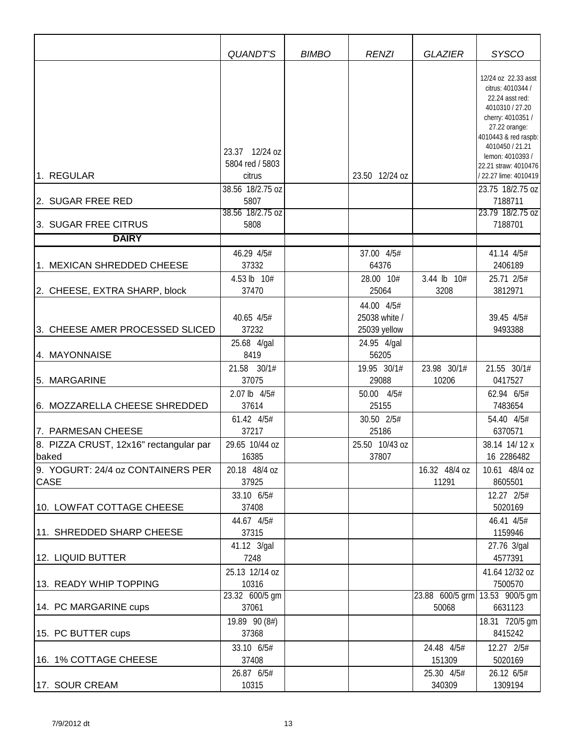|                                                  | QUANDT'S                                                        | <b>BIMBO</b> | <b>RENZI</b>                                | <b>GLAZIER</b>                          | <b>SYSCO</b>                                                                                                                                                                                                                                             |
|--------------------------------------------------|-----------------------------------------------------------------|--------------|---------------------------------------------|-----------------------------------------|----------------------------------------------------------------------------------------------------------------------------------------------------------------------------------------------------------------------------------------------------------|
| 1. REGULAR                                       | 23.37 12/24 oz<br>5804 red / 5803<br>citrus<br>38.56 18/2.75 oz |              | 23.50 12/24 oz                              |                                         | 12/24 oz 22.33 asst<br>citrus: 4010344 /<br>22.24 asst red:<br>4010310 / 27.20<br>cherry: 4010351 /<br>27.22 orange:<br>4010443 & red raspb:<br>4010450 / 21.21<br>lemon: 4010393 /<br>22.21 straw: 4010476<br>/ 22.27 lime: 4010419<br>23.75 18/2.75 oz |
| 2. SUGAR FREE RED                                | 5807<br>38.56 18/2.75 oz                                        |              |                                             |                                         | 7188711<br>23.79 18/2.75 oz                                                                                                                                                                                                                              |
| 3. SUGAR FREE CITRUS<br><b>DAIRY</b>             | 5808                                                            |              |                                             |                                         | 7188701                                                                                                                                                                                                                                                  |
|                                                  |                                                                 |              |                                             |                                         |                                                                                                                                                                                                                                                          |
| 1. MEXICAN SHREDDED CHEESE                       | 46.29 4/5#<br>37332                                             |              | 37.00 4/5#<br>64376                         |                                         | 41.14 4/5#<br>2406189                                                                                                                                                                                                                                    |
|                                                  | 4.53 lb 10#                                                     |              | 28.00 10#                                   | 3.44 lb 10#                             | 25.71 2/5#                                                                                                                                                                                                                                               |
| 2. CHEESE, EXTRA SHARP, block                    | 37470                                                           |              | 25064                                       | 3208                                    | 3812971                                                                                                                                                                                                                                                  |
| 3. CHEESE AMER PROCESSED SLICED                  | 40.65 4/5#<br>37232                                             |              | 44.00 4/5#<br>25038 white /<br>25039 yellow |                                         | 39.45 4/5#<br>9493388                                                                                                                                                                                                                                    |
| 4. MAYONNAISE                                    | 25.68 4/gal<br>8419                                             |              | 24.95 4/gal<br>56205                        |                                         |                                                                                                                                                                                                                                                          |
|                                                  | 21.58 30/1#                                                     |              | 19.95 30/1#                                 | 23.98 30/1#                             | 21.55 30/1#                                                                                                                                                                                                                                              |
| 5. MARGARINE                                     | 37075                                                           |              | 29088                                       | 10206                                   | 0417527                                                                                                                                                                                                                                                  |
| 6. MOZZARELLA CHEESE SHREDDED                    | 2.07 lb 4/5#<br>37614                                           |              | 50.00 4/5#<br>25155                         |                                         | 62.94 6/5#<br>7483654                                                                                                                                                                                                                                    |
| 7. PARMESAN CHEESE                               | 61.42 4/5#<br>37217                                             |              | 30.50 2/5#<br>25186                         |                                         | 54.40 4/5#<br>6370571                                                                                                                                                                                                                                    |
| 8. PIZZA CRUST, 12x16" rectangular par           | 29.65 10/44 oz                                                  |              | 25.50 10/43 oz                              |                                         | 38.14 14/12 x                                                                                                                                                                                                                                            |
| baked                                            | 16385                                                           |              | 37807                                       |                                         | 16 2286482                                                                                                                                                                                                                                               |
| 9. YOGURT: 24/4 oz CONTAINERS PER<br><b>CASE</b> | 20.18 48/4 oz<br>37925                                          |              |                                             | 16.32 48/4 oz<br>11291                  | 10.61 48/4 oz<br>8605501                                                                                                                                                                                                                                 |
| 10. LOWFAT COTTAGE CHEESE                        | 33.10 6/5#<br>37408                                             |              |                                             |                                         | 12.27 2/5#<br>5020169                                                                                                                                                                                                                                    |
| 11. SHREDDED SHARP CHEESE                        | 44.67 4/5#<br>37315                                             |              |                                             |                                         | 46.41 4/5#<br>1159946                                                                                                                                                                                                                                    |
| 12. LIQUID BUTTER                                | 41.12 3/gal<br>7248                                             |              |                                             |                                         | 27.76 3/gal<br>4577391                                                                                                                                                                                                                                   |
| 13. READY WHIP TOPPING                           | 25.13 12/14 oz<br>10316                                         |              |                                             |                                         | 41.64 12/32 oz<br>7500570                                                                                                                                                                                                                                |
| 14. PC MARGARINE cups                            | 23.32 600/5 gm<br>37061                                         |              |                                             | 23.88 600/5 grm 13.53 900/5 gm<br>50068 | 6631123                                                                                                                                                                                                                                                  |
| 15. PC BUTTER cups                               | 19.89 90 (8#)<br>37368                                          |              |                                             |                                         | 18.31 720/5 gm<br>8415242                                                                                                                                                                                                                                |
| 16. 1% COTTAGE CHEESE                            | 33.10 6/5#<br>37408<br>26.87 6/5#                               |              |                                             | 24.48 4/5#<br>151309<br>25.30 4/5#      | 12.27 2/5#<br>5020169<br>26.12 6/5#                                                                                                                                                                                                                      |
| 17. SOUR CREAM                                   | 10315                                                           |              |                                             | 340309                                  | 1309194                                                                                                                                                                                                                                                  |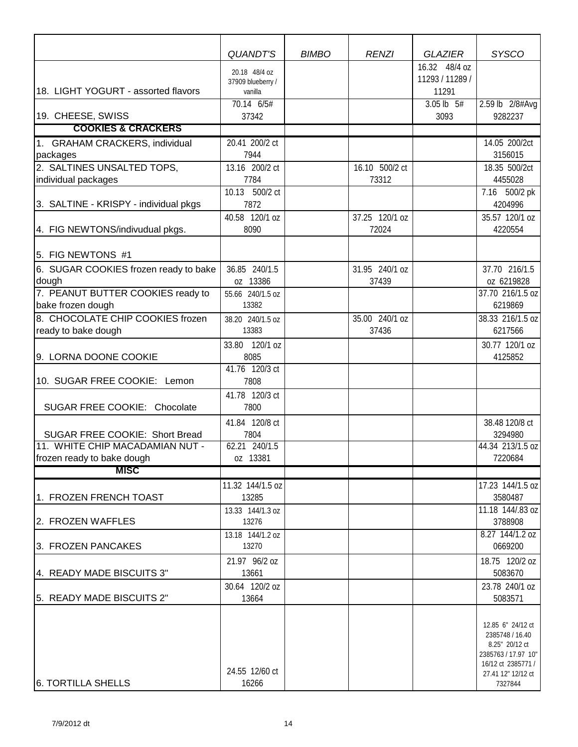|                                                                   | <b>QUANDT'S</b>                    | <b>BIMBO</b> | <b>RENZI</b>   | <b>GLAZIER</b>                   | <b>SYSCO</b>                                                                                                              |
|-------------------------------------------------------------------|------------------------------------|--------------|----------------|----------------------------------|---------------------------------------------------------------------------------------------------------------------------|
|                                                                   | 20.18 48/4 oz<br>37909 blueberry / |              |                | 16.32 48/4 oz<br>11293 / 11289 / |                                                                                                                           |
| 18. LIGHT YOGURT - assorted flavors                               | vanilla<br>70.14 6/5#              |              |                | 11291<br>3.05 lb 5#              | 2.59 lb 2/8#Avg                                                                                                           |
| 19. CHEESE, SWISS                                                 | 37342                              |              |                | 3093                             | 9282237                                                                                                                   |
| <b>COOKIES &amp; CRACKERS</b>                                     |                                    |              |                |                                  |                                                                                                                           |
| 1. GRAHAM CRACKERS, individual                                    | 20.41 200/2 ct                     |              |                |                                  | 14.05 200/2ct                                                                                                             |
| packages                                                          | 7944                               |              |                |                                  | 3156015                                                                                                                   |
| 2. SALTINES UNSALTED TOPS,                                        | 13.16 200/2 ct                     |              | 16.10 500/2 ct |                                  | 18.35 500/2ct                                                                                                             |
| individual packages                                               | 7784<br>10.13 500/2 ct             |              | 73312          |                                  | 4455028                                                                                                                   |
| 3. SALTINE - KRISPY - individual pkgs                             | 7872                               |              |                |                                  | 7.16 500/2 pk<br>4204996                                                                                                  |
|                                                                   | 40.58 120/1 oz                     |              | 37.25 120/1 oz |                                  | 35.57 120/1 oz                                                                                                            |
| 4. FIG NEWTONS/indivudual pkgs.                                   | 8090                               |              | 72024          |                                  | 4220554                                                                                                                   |
|                                                                   |                                    |              |                |                                  |                                                                                                                           |
| 5. FIG NEWTONS #1                                                 |                                    |              |                |                                  |                                                                                                                           |
| 6. SUGAR COOKIES frozen ready to bake                             | 36.85 240/1.5                      |              | 31.95 240/1 oz |                                  | 37.70 216/1.5                                                                                                             |
| dough                                                             | oz 13386                           |              | 37439          |                                  | oz 6219828                                                                                                                |
| 7. PEANUT BUTTER COOKIES ready to                                 | 55.66 240/1.5 oz                   |              |                |                                  | 37.70 216/1.5 oz                                                                                                          |
| bake frozen dough                                                 | 13382                              |              |                |                                  | 6219869                                                                                                                   |
| 8. CHOCOLATE CHIP COOKIES frozen                                  | 38.20 240/1.5 oz                   |              | 35.00 240/1 oz |                                  | 38.33 216/1.5 oz                                                                                                          |
| ready to bake dough                                               | 13383                              |              | 37436          |                                  | 6217566                                                                                                                   |
|                                                                   | 33.80 120/1 oz                     |              |                |                                  | 30.77 120/1 oz                                                                                                            |
| 9. LORNA DOONE COOKIE                                             | 8085                               |              |                |                                  | 4125852                                                                                                                   |
|                                                                   | 41.76 120/3 ct                     |              |                |                                  |                                                                                                                           |
| 10. SUGAR FREE COOKIE: Lemon                                      | 7808                               |              |                |                                  |                                                                                                                           |
|                                                                   | 41.78 120/3 ct                     |              |                |                                  |                                                                                                                           |
| SUGAR FREE COOKIE: Chocolate                                      | 7800                               |              |                |                                  |                                                                                                                           |
|                                                                   | 41.84 120/8 ct                     |              |                |                                  | 38.48 120/8 ct                                                                                                            |
| SUGAR FREE COOKIE: Short Bread<br>11. WHITE CHIP MACADAMIAN NUT - | 7804                               |              |                |                                  | 3294980                                                                                                                   |
| frozen ready to bake dough                                        | 62.21 240/1.5<br>oz 13381          |              |                |                                  | 44.34 213/1.5 oz<br>7220684                                                                                               |
| <b>MISC</b>                                                       |                                    |              |                |                                  |                                                                                                                           |
|                                                                   |                                    |              |                |                                  |                                                                                                                           |
| 1. FROZEN FRENCH TOAST                                            | 11.32 144/1.5 oz<br>13285          |              |                |                                  | 17.23 144/1.5 oz<br>3580487                                                                                               |
|                                                                   | 13.33 144/1.3 oz                   |              |                |                                  | 11.18 144/.83 oz                                                                                                          |
| 2. FROZEN WAFFLES                                                 | 13276                              |              |                |                                  | 3788908                                                                                                                   |
|                                                                   | 13.18 144/1.2 oz                   |              |                |                                  | 8.27 144/1.2 oz                                                                                                           |
| 3. FROZEN PANCAKES                                                | 13270                              |              |                |                                  | 0669200                                                                                                                   |
|                                                                   | 21.97 96/2 oz                      |              |                |                                  | 18.75 120/2 oz                                                                                                            |
| 4. READY MADE BISCUITS 3"                                         | 13661                              |              |                |                                  | 5083670                                                                                                                   |
|                                                                   | 30.64 120/2 oz                     |              |                |                                  | 23.78 240/1 oz                                                                                                            |
| 5. READY MADE BISCUITS 2"                                         | 13664                              |              |                |                                  | 5083571                                                                                                                   |
|                                                                   | 24.55 12/60 ct                     |              |                |                                  | 12.85 6" 24/12 ct<br>2385748 / 16.40<br>8.25" 20/12 ct<br>2385763 / 17.97 10"<br>16/12 ct 2385771 /<br>27.41 12" 12/12 ct |
| <b>6. TORTILLA SHELLS</b>                                         | 16266                              |              |                |                                  | 7327844                                                                                                                   |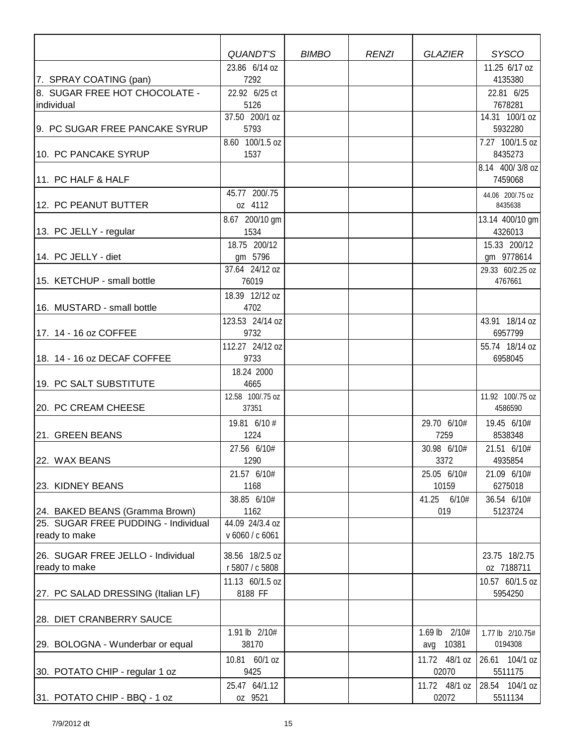|                                                    | QUANDT'S                           | <b>BIMBO</b> | <b>RENZI</b> | <b>GLAZIER</b>       | <b>SYSCO</b>                   |
|----------------------------------------------------|------------------------------------|--------------|--------------|----------------------|--------------------------------|
|                                                    | 23.86 6/14 oz                      |              |              |                      | 11.25 6/17 oz                  |
| 7. SPRAY COATING (pan)                             | 7292                               |              |              |                      | 4135380                        |
| 8. SUGAR FREE HOT CHOCOLATE -                      | 22.92 6/25 ct                      |              |              |                      | 22.81 6/25                     |
| individual                                         | 5126                               |              |              |                      | 7678281                        |
|                                                    | 37.50 200/1 oz                     |              |              |                      | 14.31 100/1 oz                 |
| 9. PC SUGAR FREE PANCAKE SYRUP                     | 5793                               |              |              |                      | 5932280                        |
|                                                    | 8.60 100/1.5 oz                    |              |              |                      | 7.27 100/1.5 oz                |
| 10. PC PANCAKE SYRUP                               | 1537                               |              |              |                      | 8435273                        |
| 11. PC HALF & HALF                                 |                                    |              |              |                      | 8.14 400/3/8 oz<br>7459068     |
|                                                    | 45.77 200/.75                      |              |              |                      | 44.06 200/.75 oz               |
| 12. PC PEANUT BUTTER                               | oz 4112                            |              |              |                      | 8435638                        |
|                                                    | 8.67 200/10 gm                     |              |              |                      | 13.14 400/10 gm                |
| 13. PC JELLY - regular                             | 1534                               |              |              |                      | 4326013                        |
| 14. PC JELLY - diet                                | 18.75 200/12                       |              |              |                      | 15.33 200/12                   |
|                                                    | gm 5796<br>37.64 24/12 oz          |              |              |                      | gm 9778614<br>29.33 60/2.25 oz |
| 15. KETCHUP - small bottle                         | 76019                              |              |              |                      | 4767661                        |
|                                                    | 18.39 12/12 oz                     |              |              |                      |                                |
| 16. MUSTARD - small bottle                         | 4702                               |              |              |                      |                                |
|                                                    | 123.53 24/14 oz                    |              |              |                      | 43.91 18/14 oz                 |
| 17. 14 - 16 oz COFFEE                              | 9732                               |              |              |                      | 6957799                        |
|                                                    | 112.27 24/12 oz                    |              |              |                      | 55.74 18/14 oz                 |
| 18. 14 - 16 oz DECAF COFFEE                        | 9733                               |              |              |                      | 6958045                        |
|                                                    | 18.24 2000                         |              |              |                      |                                |
| 19. PC SALT SUBSTITUTE                             | 4665                               |              |              |                      |                                |
|                                                    | 12.58 100/.75 oz                   |              |              |                      | 11.92 100/.75 oz               |
| 20. PC CREAM CHEESE                                | 37351                              |              |              |                      | 4586590                        |
|                                                    | 19.81 6/10 #                       |              |              | 29.70 6/10#          | 19.45 6/10#                    |
| 21. GREEN BEANS                                    | 1224                               |              |              | 7259                 | 8538348                        |
|                                                    | 27.56 6/10#                        |              |              | 30.98 6/10#          | 21.51 6/10#                    |
| 22. WAX BEANS                                      | 1290                               |              |              | 3372                 | 4935854                        |
| 23. KIDNEY BEANS                                   | 21.57 6/10#<br>1168                |              |              | 25.05 6/10#<br>10159 | 21.09 6/10#<br>6275018         |
|                                                    | 38.85 6/10#                        |              |              | 41.25 6/10#          | 36.54 6/10#                    |
| 24. BAKED BEANS (Gramma Brown)                     | 1162                               |              |              | 019                  | 5123724                        |
| 25. SUGAR FREE PUDDING - Individual                | 44.09 24/3.4 oz                    |              |              |                      |                                |
| ready to make                                      | v 6060 / c 6061                    |              |              |                      |                                |
|                                                    |                                    |              |              |                      |                                |
| 26. SUGAR FREE JELLO - Individual<br>ready to make | 38.56 18/2.5 oz<br>r 5807 / c 5808 |              |              |                      | 23.75 18/2.75<br>oz 7188711    |
|                                                    | 11.13 60/1.5 oz                    |              |              |                      | 10.57 60/1.5 oz                |
| 27. PC SALAD DRESSING (Italian LF)                 | 8188 FF                            |              |              |                      | 5954250                        |
|                                                    |                                    |              |              |                      |                                |
| 28. DIET CRANBERRY SAUCE                           |                                    |              |              |                      |                                |
|                                                    | 1.91 lb 2/10#                      |              |              | 1.69 lb 2/10#        | 1.77 lb 2/10.75#               |
| 29. BOLOGNA - Wunderbar or equal                   | 38170                              |              |              | avg 10381            | 0194308                        |
|                                                    | 10.81 60/1 oz                      |              |              | 11.72 48/1 oz        | 26.61 104/1 oz                 |
| 30. POTATO CHIP - regular 1 oz                     | 9425                               |              |              | 02070                | 5511175                        |
|                                                    | 25.47 64/1.12                      |              |              | 11.72 48/1 oz        | 28.54 104/1 oz                 |
| 31. POTATO CHIP - BBQ - 1 oz                       | oz 9521                            |              |              | 02072                | 5511134                        |